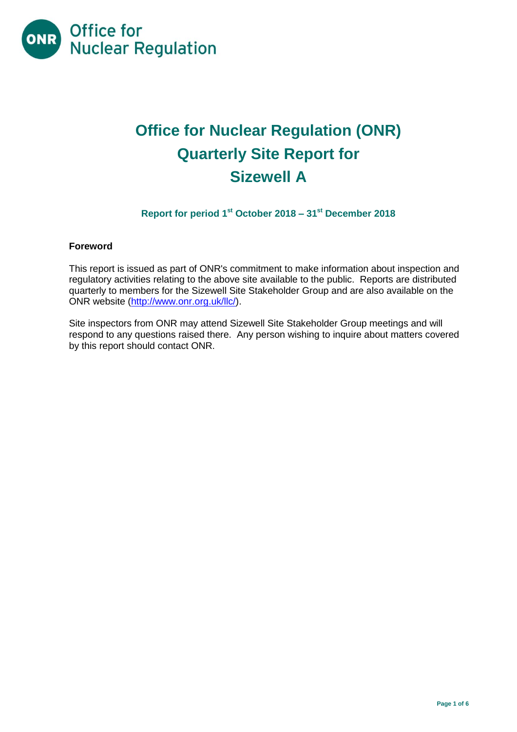

# **Office for Nuclear Regulation (ONR) Quarterly Site Report for Sizewell A**

# **Report for period 1st October 2018 – 31st December 2018**

## **Foreword**

This report is issued as part of ONR's commitment to make information about inspection and regulatory activities relating to the above site available to the public. Reports are distributed quarterly to members for the Sizewell Site Stakeholder Group and are also available on the ONR website [\(http://www.onr.org.uk/llc/\)](http://www.onr.org.uk/llc/).

Site inspectors from ONR may attend Sizewell Site Stakeholder Group meetings and will respond to any questions raised there. Any person wishing to inquire about matters covered by this report should contact ONR.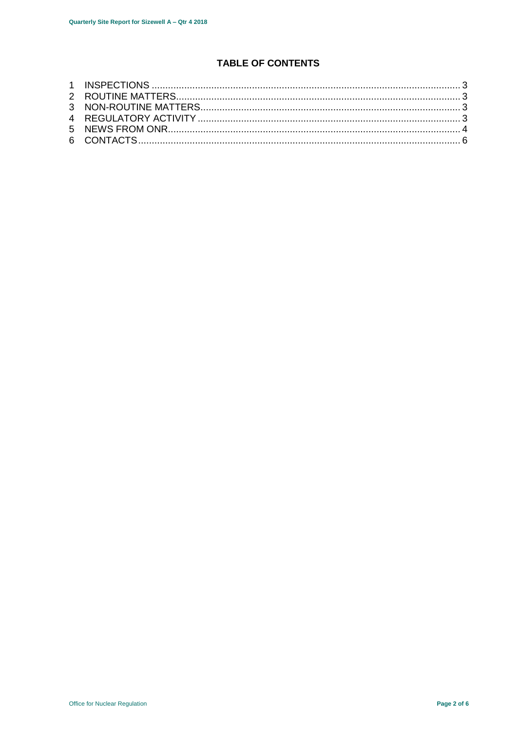# **TABLE OF CONTENTS**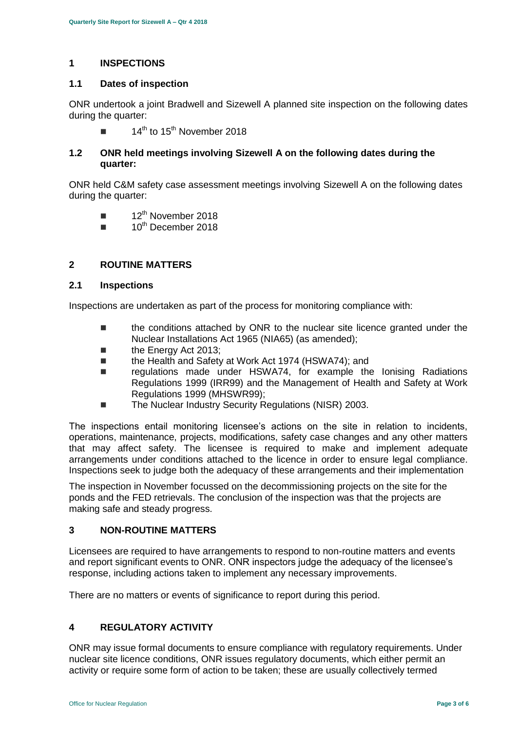## <span id="page-2-0"></span>**1 INSPECTIONS**

#### **1.1 Dates of inspection**

ONR undertook a joint Bradwell and Sizewell A planned site inspection on the following dates during the quarter:

 $\blacksquare$  14<sup>th</sup> to 15<sup>th</sup> November 2018

## **1.2 ONR held meetings involving Sizewell A on the following dates during the quarter:**

ONR held C&M safety case assessment meetings involving Sizewell A on the following dates during the quarter:

- $\blacksquare$  12<sup>th</sup> November 2018
- $\blacksquare$  10<sup>th</sup> December 2018

## <span id="page-2-1"></span>**2 ROUTINE MATTERS**

#### **2.1 Inspections**

Inspections are undertaken as part of the process for monitoring compliance with:

- the conditions attached by ONR to the nuclear site licence granted under the Nuclear Installations Act 1965 (NIA65) (as amended);
- the Energy Act 2013;
- the Health and Safety at Work Act 1974 (HSWA74); and
- regulations made under HSWA74, for example the Ionising Radiations Regulations 1999 (IRR99) and the Management of Health and Safety at Work Regulations 1999 (MHSWR99);
- The Nuclear Industry Security Regulations (NISR) 2003.

The inspections entail monitoring licensee's actions on the site in relation to incidents, operations, maintenance, projects, modifications, safety case changes and any other matters that may affect safety. The licensee is required to make and implement adequate arrangements under conditions attached to the licence in order to ensure legal compliance. Inspections seek to judge both the adequacy of these arrangements and their implementation

The inspection in November focussed on the decommissioning projects on the site for the ponds and the FED retrievals. The conclusion of the inspection was that the projects are making safe and steady progress.

# <span id="page-2-2"></span>**3 NON-ROUTINE MATTERS**

Licensees are required to have arrangements to respond to non-routine matters and events and report significant events to ONR. ONR inspectors judge the adequacy of the licensee's response, including actions taken to implement any necessary improvements.

There are no matters or events of significance to report during this period.

## <span id="page-2-3"></span>**4 REGULATORY ACTIVITY**

ONR may issue formal documents to ensure compliance with regulatory requirements. Under nuclear site licence conditions, ONR issues regulatory documents, which either permit an activity or require some form of action to be taken; these are usually collectively termed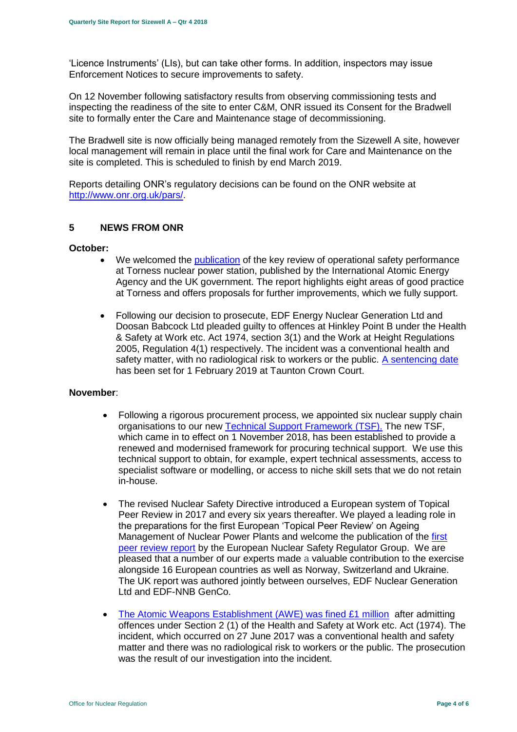'Licence Instruments' (LIs), but can take other forms. In addition, inspectors may issue Enforcement Notices to secure improvements to safety.

On 12 November following satisfactory results from observing commissioning tests and inspecting the readiness of the site to enter C&M, ONR issued its Consent for the Bradwell site to formally enter the Care and Maintenance stage of decommissioning.

The Bradwell site is now officially being managed remotely from the Sizewell A site, however local management will remain in place until the final work for Care and Maintenance on the site is completed. This is scheduled to finish by end March 2019.

Reports detailing ONR's regulatory decisions can be found on the ONR website at [http://www.onr.org.uk/pars/.](http://www.onr.org.uk/pars/)

#### <span id="page-3-0"></span>**5 NEWS FROM ONR**

#### **October:**

- We welcomed the **publication** of the key review of operational safety performance at Torness nuclear power station, published by the International Atomic Energy Agency and the UK government. The report highlights eight areas of good practice at Torness and offers proposals for further improvements, which we fully support.
- Following our decision to prosecute, EDF Energy Nuclear Generation Ltd and Doosan Babcock Ltd pleaded guilty to offences at Hinkley Point B under the Health & Safety at Work etc. Act 1974, section 3(1) and the Work at Height Regulations 2005, Regulation 4(1) respectively. The incident was a conventional health and safety matter, with no radiological risk to workers or the public. [A sentencing date](http://news.onr.org.uk/2018/10/edf-and-doosan-babcock-plead-guilty/) has been set for 1 February 2019 at Taunton Crown Court.

#### **November**:

- Following a rigorous procurement process, we appointed six nuclear supply chain organisations to our new [Technical Support Framework \(TSF\).](http://news.onr.org.uk/2018/11/new-technical-support-framework-announced/) The new TSF, which came in to effect on 1 November 2018, has been established to provide a renewed and modernised framework for procuring technical support. We use this technical support to obtain, for example, expert technical assessments, access to specialist software or modelling, or access to niche skill sets that we do not retain in-house.
- The revised Nuclear Safety Directive introduced a European system of Topical Peer Review in 2017 and every six years thereafter. We played a leading role in the preparations for the first European 'Topical Peer Review' on Ageing Management of Nuclear Power Plants and welcome the publication of the first [peer review report](http://news.onr.org.uk/2018/11/onr-welcomes-first-topical-peer-review/) by the European Nuclear Safety Regulator Group. We are pleased that a number of our experts made a valuable contribution to the exercise alongside 16 European countries as well as Norway, Switzerland and Ukraine. The UK report was authored jointly between ourselves, EDF Nuclear Generation Ltd and EDF-NNB GenCo.
- [The Atomic Weapons Establishment \(AWE\) was fined £1 million](http://news.onr.org.uk/2018/11/awe-prosecution-reaction/) after admitting offences under Section 2 (1) of the Health and Safety at Work etc. Act (1974). The incident, which occurred on 27 June 2017 was a conventional health and safety matter and there was no radiological risk to workers or the public. The prosecution was the result of our investigation into the incident.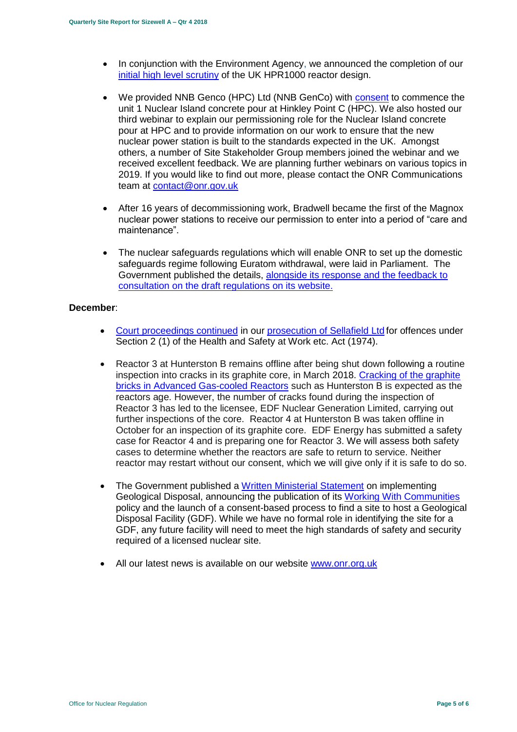- In conjunction with the Environment Agency, we announced the completion of our [initial high level scrutiny](http://news.onr.org.uk/2018/11/uk-hpr1000-completes-gda-step-2/) of the UK HPR1000 reactor design.
- We provided NNB Genco (HPC) Ltd (NNB GenCo) with [consent](http://news.onr.org.uk/2018/11/consent-for-hinkley-point-c-nuclear-island-concrete-pour/) to commence the unit 1 Nuclear Island concrete pour at Hinkley Point C (HPC). We also hosted our third webinar to explain our permissioning role for the Nuclear Island concrete pour at HPC and to provide information on our work to ensure that the new nuclear power station is built to the standards expected in the UK. Amongst others, a number of Site Stakeholder Group members joined the webinar and we received excellent feedback. We are planning further webinars on various topics in 2019. If you would like to find out more, please contact the ONR Communications team at [contact@onr.gov.uk](mailto:contact@onr.gov.uk)
- After 16 years of decommissioning work, Bradwell became the first of the Magnox nuclear power stations to receive our permission to enter into a period of "care and maintenance".
- The nuclear safeguards regulations which will enable ONR to set up the domestic safeguards regime following Euratom withdrawal, were laid in Parliament. The Government published the details, [alongside its response and the feedback to](https://www.gov.uk/government/consultations/nuclear-safeguards-regulations)  [consultation on the draft regulations on its website.](https://www.gov.uk/government/consultations/nuclear-safeguards-regulations)

#### **December**:

- [Court proceedings continued](http://news.onr.org.uk/2018/12/prosecution-of-sellafield-ltd/) in our [prosecution of Sellafield Ltd](http://news.onr.org.uk/2018/07/update-prosecution-of-sellafield-ltd/) for offences under Section 2 (1) of the Health and Safety at Work etc. Act (1974).
- Reactor 3 at Hunterston B remains offline after being shut down following a routine inspection into cracks in its graphite core, in March 2018. [Cracking of the graphite](http://www.onr.org.uk/civil-nuclear-reactors/graphite-core-of-agrs.htm)  [bricks in Advanced Gas-cooled Reactors](http://www.onr.org.uk/civil-nuclear-reactors/graphite-core-of-agrs.htm) such as Hunterston B is expected as the reactors age. However, the number of cracks found during the inspection of Reactor 3 has led to the licensee, EDF Nuclear Generation Limited, carrying out further inspections of the core. Reactor 4 at Hunterston B was taken offline in October for an inspection of its graphite core. EDF Energy has submitted a safety case for Reactor 4 and is preparing one for Reactor 3. We will assess both safety cases to determine whether the reactors are safe to return to service. Neither reactor may restart without our consent, which we will give only if it is safe to do so.
- The Government published a [Written Ministerial Statement](https://www.parliament.uk/business/publications/written-questions-answers-statements/written-statement/Commons/2018-12-19/HCWS1217/) on implementing Geological Disposal, announcing the publication of its [Working With Communities](https://www.gov.uk/government/publications/implementing-geological-disposal-working-with-communities-long-term-management-of-higher-activity-radioactive-waste) policy and the launch of a consent-based process to find a site to host a Geological Disposal Facility (GDF). While we have no formal role in identifying the site for a GDF, any future facility will need to meet the high standards of safety and security required of a licensed nuclear site.
- All our latest news is available on our website [www.onr.org.uk](http://www.onr.org.uk/)